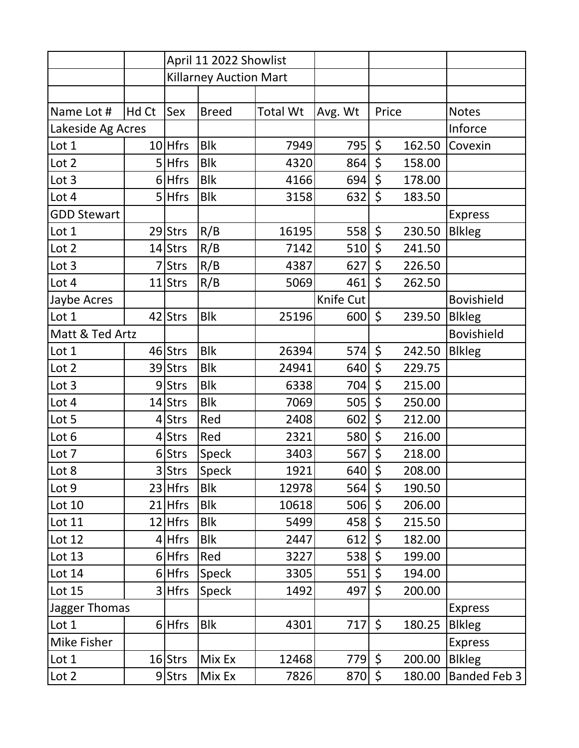|                    |       | April 11 2022 Showlist        |              |                 |           |         |                |                   |
|--------------------|-------|-------------------------------|--------------|-----------------|-----------|---------|----------------|-------------------|
|                    |       | <b>Killarney Auction Mart</b> |              |                 |           |         |                |                   |
|                    |       |                               |              |                 |           |         |                |                   |
| Name Lot #         | Hd Ct | Sex                           | <b>Breed</b> | <b>Total Wt</b> | Avg. Wt   | Price   |                | <b>Notes</b>      |
| Lakeside Ag Acres  |       |                               |              |                 |           |         | Inforce        |                   |
| Lot 1              |       | $10$ Hfrs                     | <b>Blk</b>   | 7949            | 795       | \$      | 162.50         | Covexin           |
| Lot 2              |       | $5$ Hfrs                      | <b>Blk</b>   | 4320            | 864       | \$      | 158.00         |                   |
| Lot 3              |       | $6$ Hfrs                      | <b>Blk</b>   | 4166            | 694       | \$      | 178.00         |                   |
| Lot 4              |       | $5$ Hfrs                      | <b>Blk</b>   | 3158            | 632       | \$      | 183.50         |                   |
| <b>GDD Stewart</b> |       |                               |              |                 |           |         |                | <b>Express</b>    |
| Lot 1              |       | 29 Strs                       | R/B          | 16195           | 558       | \$      | 230.50         | <b>Blkleg</b>     |
| Lot 2              |       | 14 Strs                       | R/B          | 7142            | 510       | $\zeta$ | 241.50         |                   |
| Lot 3              |       | 7 Strs                        | R/B          | 4387            | 627       | $\zeta$ | 226.50         |                   |
| Lot 4              |       | $11$ Strs                     | R/B          | 5069            | 461       | $\zeta$ | 262.50         |                   |
| Jaybe Acres        |       |                               |              |                 | Knife Cut |         |                | <b>Bovishield</b> |
| Lot 1              |       | 42 Strs                       | <b>Blk</b>   | 25196           | 600       | $\zeta$ | 239.50         | <b>Blkleg</b>     |
| Matt & Ted Artz    |       |                               |              |                 |           |         |                | <b>Bovishield</b> |
| Lot 1              |       | 46 Strs                       | <b>Blk</b>   | 26394           | 574       | $\zeta$ | 242.50         | <b>Blkleg</b>     |
| Lot 2              |       | 39 Strs                       | <b>Blk</b>   | 24941           | 640       | $\zeta$ | 229.75         |                   |
| Lot 3              |       | 9Strs                         | <b>Blk</b>   | 6338            | 704       | $\zeta$ | 215.00         |                   |
| Lot 4              |       | 14 Strs                       | <b>Blk</b>   | 7069            | 505       | $\zeta$ | 250.00         |                   |
| Lot 5              |       | 4 Strs                        | Red          | 2408            | 602       | \$      | 212.00         |                   |
| Lot 6              |       | 4 Strs                        | Red          | 2321            | 580       | $\zeta$ | 216.00         |                   |
| Lot 7              |       | 6 Strs                        | Speck        | 3403            | 567       | $\zeta$ | 218.00         |                   |
| Lot 8              |       | 3 Strs                        | Speck        | 1921            | 640 \$    |         | 208.00         |                   |
| Lot 9              |       | $23$ Hfrs                     | <b>Blk</b>   | 12978           | 564       | \$      | 190.50         |                   |
| Lot 10             |       | 21 Hfrs                       | <b>Blk</b>   | 10618           | 506       | \$      | 206.00         |                   |
| Lot 11             |       | $12$ Hfrs                     | <b>Blk</b>   | 5499            | 458       | $\zeta$ | 215.50         |                   |
| Lot 12             |       | 4 Hfrs                        | <b>Blk</b>   | 2447            | 612       | $\zeta$ | 182.00         |                   |
| Lot 13             |       | $6$ Hfrs                      | Red          | 3227            | 538       | $\zeta$ | 199.00         |                   |
| Lot 14             |       | $6$ Hfrs                      | Speck        | 3305            | 551       | \$      | 194.00         |                   |
| <b>Lot 15</b>      |       | $3$ Hfrs                      | Speck        | 1492            | 497       | \$      | 200.00         |                   |
| Jagger Thomas      |       |                               |              |                 |           |         | <b>Express</b> |                   |
| Lot 1              |       | $6$ Hfrs                      | <b>Blk</b>   | 4301            | 717       | \$      | 180.25         | <b>Blkleg</b>     |
| Mike Fisher        |       |                               |              |                 |           |         |                | <b>Express</b>    |
| Lot 1              |       | $16$ Strs                     | Mix Ex       | 12468           | 779       | \$      | 200.00         | <b>Blkleg</b>     |
| Lot 2              |       | $9$ Strs                      | Mix Ex       | 7826            | 870       | $\zeta$ | 180.00         | Banded Feb 3      |